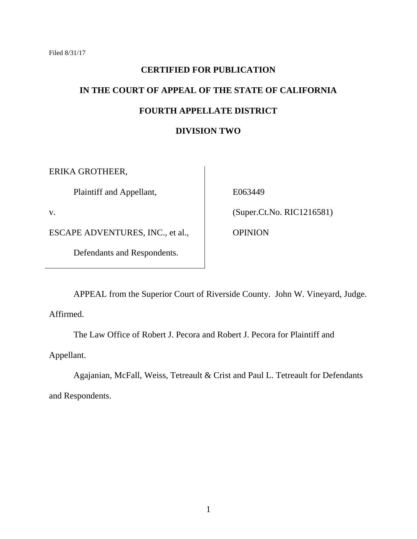# **CERTIFIED FOR PUBLICATION IN THE COURT OF APPEAL OF THE STATE OF CALIFORNIA FOURTH APPELLATE DISTRICT**

#### **DIVISION TWO**

ERIKA GROTHEER,

Plaintiff and Appellant,

v.

ESCAPE ADVENTURES, INC., et al.,

Defendants and Respondents.

E063449

(Super.Ct.No. RIC1216581)

**OPINION** 

APPEAL from the Superior Court of Riverside County. John W. Vineyard, Judge. Affirmed.

The Law Office of Robert J. Pecora and Robert J. Pecora for Plaintiff and

Appellant.

Agajanian, McFall, Weiss, Tetreault & Crist and Paul L. Tetreault for Defendants and Respondents.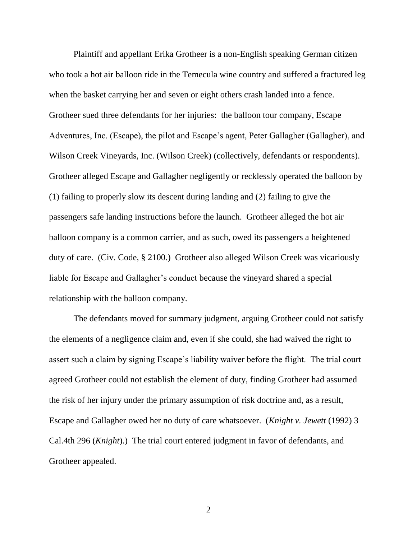Plaintiff and appellant Erika Grotheer is a non-English speaking German citizen who took a hot air balloon ride in the Temecula wine country and suffered a fractured leg when the basket carrying her and seven or eight others crash landed into a fence. Grotheer sued three defendants for her injuries: the balloon tour company, Escape Adventures, Inc. (Escape), the pilot and Escape's agent, Peter Gallagher (Gallagher), and Wilson Creek Vineyards, Inc. (Wilson Creek) (collectively, defendants or respondents). Grotheer alleged Escape and Gallagher negligently or recklessly operated the balloon by (1) failing to properly slow its descent during landing and (2) failing to give the passengers safe landing instructions before the launch. Grotheer alleged the hot air balloon company is a common carrier, and as such, owed its passengers a heightened duty of care. (Civ. Code, § 2100.) Grotheer also alleged Wilson Creek was vicariously liable for Escape and Gallagher's conduct because the vineyard shared a special relationship with the balloon company.

The defendants moved for summary judgment, arguing Grotheer could not satisfy the elements of a negligence claim and, even if she could, she had waived the right to assert such a claim by signing Escape's liability waiver before the flight. The trial court agreed Grotheer could not establish the element of duty, finding Grotheer had assumed the risk of her injury under the primary assumption of risk doctrine and, as a result, Escape and Gallagher owed her no duty of care whatsoever. (*Knight v. Jewett* (1992) 3 Cal.4th 296 (*Knight*).) The trial court entered judgment in favor of defendants, and Grotheer appealed.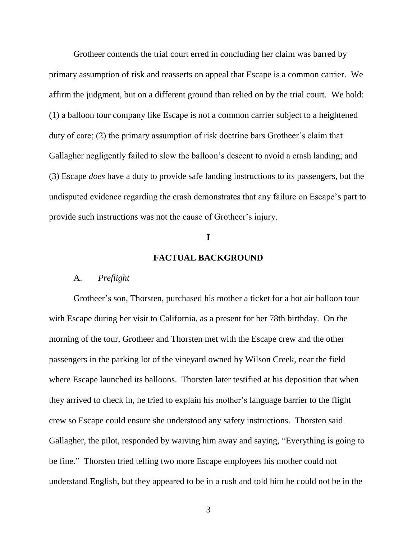Grotheer contends the trial court erred in concluding her claim was barred by primary assumption of risk and reasserts on appeal that Escape is a common carrier. We affirm the judgment, but on a different ground than relied on by the trial court. We hold: (1) a balloon tour company like Escape is not a common carrier subject to a heightened duty of care; (2) the primary assumption of risk doctrine bars Grotheer's claim that Gallagher negligently failed to slow the balloon's descent to avoid a crash landing; and (3) Escape *does* have a duty to provide safe landing instructions to its passengers, but the undisputed evidence regarding the crash demonstrates that any failure on Escape's part to provide such instructions was not the cause of Grotheer's injury.

#### **I**

#### **FACTUAL BACKGROUND**

#### A. *Preflight*

Grotheer's son, Thorsten, purchased his mother a ticket for a hot air balloon tour with Escape during her visit to California, as a present for her 78th birthday. On the morning of the tour, Grotheer and Thorsten met with the Escape crew and the other passengers in the parking lot of the vineyard owned by Wilson Creek, near the field where Escape launched its balloons. Thorsten later testified at his deposition that when they arrived to check in, he tried to explain his mother's language barrier to the flight crew so Escape could ensure she understood any safety instructions. Thorsten said Gallagher, the pilot, responded by waiving him away and saying, "Everything is going to be fine." Thorsten tried telling two more Escape employees his mother could not understand English, but they appeared to be in a rush and told him he could not be in the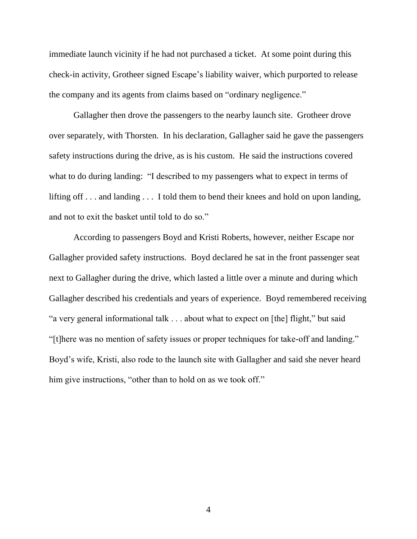immediate launch vicinity if he had not purchased a ticket. At some point during this check-in activity, Grotheer signed Escape's liability waiver, which purported to release the company and its agents from claims based on "ordinary negligence."

Gallagher then drove the passengers to the nearby launch site. Grotheer drove over separately, with Thorsten. In his declaration, Gallagher said he gave the passengers safety instructions during the drive, as is his custom. He said the instructions covered what to do during landing: "I described to my passengers what to expect in terms of lifting off . . . and landing . . . I told them to bend their knees and hold on upon landing, and not to exit the basket until told to do so."

According to passengers Boyd and Kristi Roberts, however, neither Escape nor Gallagher provided safety instructions. Boyd declared he sat in the front passenger seat next to Gallagher during the drive, which lasted a little over a minute and during which Gallagher described his credentials and years of experience. Boyd remembered receiving "a very general informational talk . . . about what to expect on [the] flight," but said "[t]here was no mention of safety issues or proper techniques for take-off and landing." Boyd's wife, Kristi, also rode to the launch site with Gallagher and said she never heard him give instructions, "other than to hold on as we took off."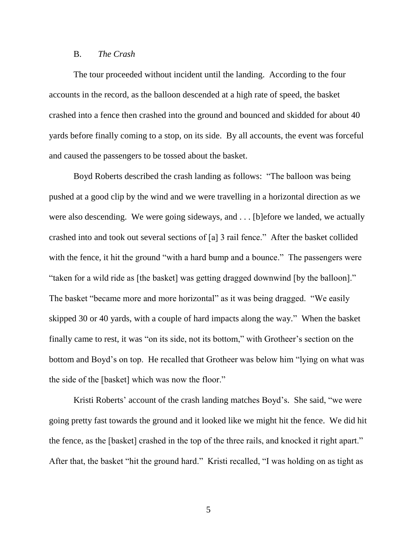#### B. *The Crash*

The tour proceeded without incident until the landing. According to the four accounts in the record, as the balloon descended at a high rate of speed, the basket crashed into a fence then crashed into the ground and bounced and skidded for about 40 yards before finally coming to a stop, on its side. By all accounts, the event was forceful and caused the passengers to be tossed about the basket.

Boyd Roberts described the crash landing as follows: "The balloon was being pushed at a good clip by the wind and we were travelling in a horizontal direction as we were also descending. We were going sideways, and . . . [b]efore we landed, we actually crashed into and took out several sections of [a] 3 rail fence." After the basket collided with the fence, it hit the ground "with a hard bump and a bounce." The passengers were "taken for a wild ride as [the basket] was getting dragged downwind [by the balloon]." The basket "became more and more horizontal" as it was being dragged. "We easily skipped 30 or 40 yards, with a couple of hard impacts along the way." When the basket finally came to rest, it was "on its side, not its bottom," with Grotheer's section on the bottom and Boyd's on top. He recalled that Grotheer was below him "lying on what was the side of the [basket] which was now the floor."

Kristi Roberts' account of the crash landing matches Boyd's. She said, "we were going pretty fast towards the ground and it looked like we might hit the fence. We did hit the fence, as the [basket] crashed in the top of the three rails, and knocked it right apart." After that, the basket "hit the ground hard." Kristi recalled, "I was holding on as tight as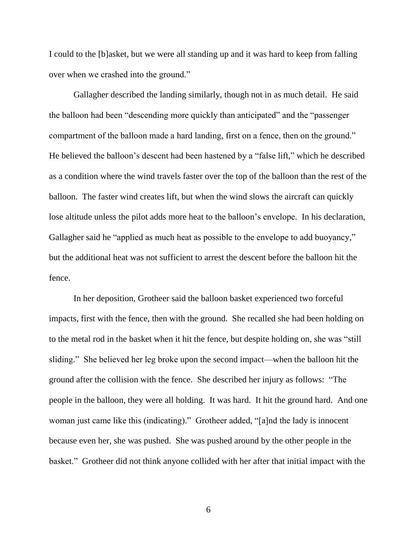I could to the [b]asket, but we were all standing up and it was hard to keep from falling over when we crashed into the ground."

Gallagher described the landing similarly, though not in as much detail. He said the balloon had been "descending more quickly than anticipated" and the "passenger compartment of the balloon made a hard landing, first on a fence, then on the ground." He believed the balloon's descent had been hastened by a "false lift," which he described as a condition where the wind travels faster over the top of the balloon than the rest of the balloon. The faster wind creates lift, but when the wind slows the aircraft can quickly lose altitude unless the pilot adds more heat to the balloon's envelope. In his declaration, Gallagher said he "applied as much heat as possible to the envelope to add buoyancy," but the additional heat was not sufficient to arrest the descent before the balloon hit the fence.

In her deposition, Grotheer said the balloon basket experienced two forceful impacts, first with the fence, then with the ground. She recalled she had been holding on to the metal rod in the basket when it hit the fence, but despite holding on, she was "still sliding." She believed her leg broke upon the second impact—when the balloon hit the ground after the collision with the fence. She described her injury as follows: "The people in the balloon, they were all holding. It was hard. It hit the ground hard. And one woman just came like this (indicating)." Grotheer added, "[a]nd the lady is innocent because even her, she was pushed. She was pushed around by the other people in the basket." Grotheer did not think anyone collided with her after that initial impact with the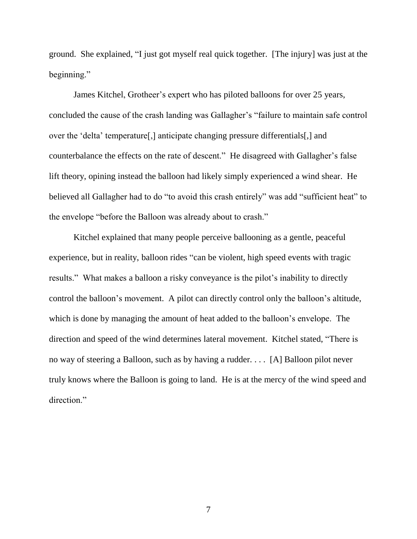ground. She explained, "I just got myself real quick together. [The injury] was just at the beginning."

James Kitchel, Grotheer's expert who has piloted balloons for over 25 years, concluded the cause of the crash landing was Gallagher's "failure to maintain safe control over the 'delta' temperature[,] anticipate changing pressure differentials[,] and counterbalance the effects on the rate of descent." He disagreed with Gallagher's false lift theory, opining instead the balloon had likely simply experienced a wind shear. He believed all Gallagher had to do "to avoid this crash entirely" was add "sufficient heat" to the envelope "before the Balloon was already about to crash."

Kitchel explained that many people perceive ballooning as a gentle, peaceful experience, but in reality, balloon rides "can be violent, high speed events with tragic results." What makes a balloon a risky conveyance is the pilot's inability to directly control the balloon's movement. A pilot can directly control only the balloon's altitude, which is done by managing the amount of heat added to the balloon's envelope. The direction and speed of the wind determines lateral movement. Kitchel stated, "There is no way of steering a Balloon, such as by having a rudder. . . . [A] Balloon pilot never truly knows where the Balloon is going to land. He is at the mercy of the wind speed and direction."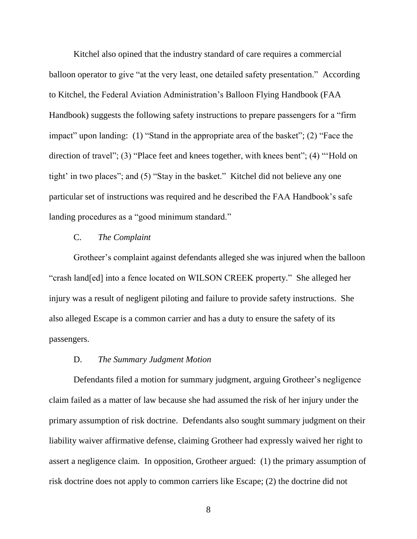Kitchel also opined that the industry standard of care requires a commercial balloon operator to give "at the very least, one detailed safety presentation." According to Kitchel, the Federal Aviation Administration's Balloon Flying Handbook (FAA Handbook) suggests the following safety instructions to prepare passengers for a "firm impact" upon landing: (1) "Stand in the appropriate area of the basket"; (2) "Face the direction of travel"; (3) "Place feet and knees together, with knees bent"; (4) "Hold on tight' in two places"; and (5) "Stay in the basket." Kitchel did not believe any one particular set of instructions was required and he described the FAA Handbook's safe landing procedures as a "good minimum standard."

### C. *The Complaint*

Grotheer's complaint against defendants alleged she was injured when the balloon "crash land[ed] into a fence located on WILSON CREEK property." She alleged her injury was a result of negligent piloting and failure to provide safety instructions. She also alleged Escape is a common carrier and has a duty to ensure the safety of its passengers.

#### D. *The Summary Judgment Motion*

Defendants filed a motion for summary judgment, arguing Grotheer's negligence claim failed as a matter of law because she had assumed the risk of her injury under the primary assumption of risk doctrine. Defendants also sought summary judgment on their liability waiver affirmative defense, claiming Grotheer had expressly waived her right to assert a negligence claim. In opposition, Grotheer argued: (1) the primary assumption of risk doctrine does not apply to common carriers like Escape; (2) the doctrine did not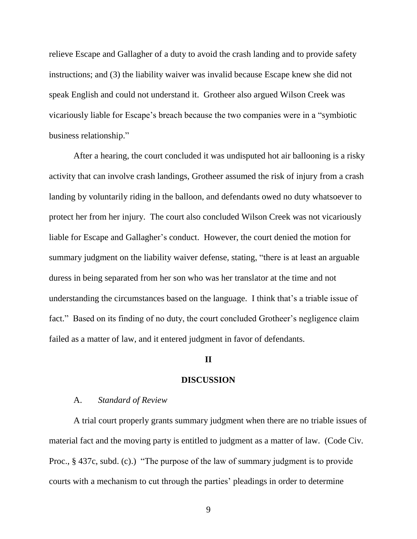relieve Escape and Gallagher of a duty to avoid the crash landing and to provide safety instructions; and (3) the liability waiver was invalid because Escape knew she did not speak English and could not understand it. Grotheer also argued Wilson Creek was vicariously liable for Escape's breach because the two companies were in a "symbiotic business relationship."

After a hearing, the court concluded it was undisputed hot air ballooning is a risky activity that can involve crash landings, Grotheer assumed the risk of injury from a crash landing by voluntarily riding in the balloon, and defendants owed no duty whatsoever to protect her from her injury. The court also concluded Wilson Creek was not vicariously liable for Escape and Gallagher's conduct. However, the court denied the motion for summary judgment on the liability waiver defense, stating, "there is at least an arguable duress in being separated from her son who was her translator at the time and not understanding the circumstances based on the language. I think that's a triable issue of fact." Based on its finding of no duty, the court concluded Grotheer's negligence claim failed as a matter of law, and it entered judgment in favor of defendants.

#### **II**

#### **DISCUSSION**

#### A. *Standard of Review*

A trial court properly grants summary judgment when there are no triable issues of material fact and the moving party is entitled to judgment as a matter of law. (Code Civ. Proc., § 437c, subd. (c).) "The purpose of the law of summary judgment is to provide courts with a mechanism to cut through the parties' pleadings in order to determine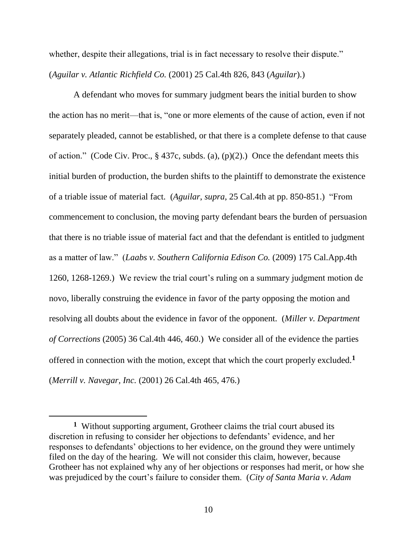whether, despite their allegations, trial is in fact necessary to resolve their dispute." (*Aguilar v. Atlantic Richfield Co.* (2001) 25 Cal.4th 826, 843 (*Aguilar*).)

A defendant who moves for summary judgment bears the initial burden to show the action has no merit—that is, "one or more elements of the cause of action, even if not separately pleaded, cannot be established, or that there is a complete defense to that cause of action." (Code Civ. Proc., § 437c, subds. (a), (p)(2).) Once the defendant meets this initial burden of production, the burden shifts to the plaintiff to demonstrate the existence of a triable issue of material fact. (*Aguilar*, *supra*, 25 Cal.4th at pp. 850-851.) "From commencement to conclusion, the moving party defendant bears the burden of persuasion that there is no triable issue of material fact and that the defendant is entitled to judgment as a matter of law." (*Laabs v. Southern California Edison Co.* (2009) 175 Cal.App.4th 1260, 1268-1269.) We review the trial court's ruling on a summary judgment motion de novo, liberally construing the evidence in favor of the party opposing the motion and resolving all doubts about the evidence in favor of the opponent. (*Miller v. Department of Corrections* (2005) 36 Cal.4th 446, 460.) We consider all of the evidence the parties offered in connection with the motion, except that which the court properly excluded.**<sup>1</sup>** (*Merrill v. Navegar, Inc.* (2001) 26 Cal.4th 465, 476.)

 $\overline{a}$ 

**<sup>1</sup>** Without supporting argument, Grotheer claims the trial court abused its discretion in refusing to consider her objections to defendants' evidence, and her responses to defendants' objections to her evidence, on the ground they were untimely filed on the day of the hearing. We will not consider this claim, however, because Grotheer has not explained why any of her objections or responses had merit, or how she was prejudiced by the court's failure to consider them. (*City of Santa Maria v. Adam*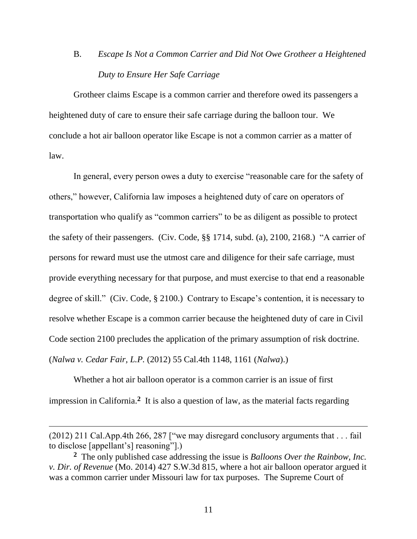# B. *Escape Is Not a Common Carrier and Did Not Owe Grotheer a Heightened Duty to Ensure Her Safe Carriage*

Grotheer claims Escape is a common carrier and therefore owed its passengers a heightened duty of care to ensure their safe carriage during the balloon tour. We conclude a hot air balloon operator like Escape is not a common carrier as a matter of law.

In general, every person owes a duty to exercise "reasonable care for the safety of others," however, California law imposes a heightened duty of care on operators of transportation who qualify as "common carriers" to be as diligent as possible to protect the safety of their passengers. (Civ. Code, §§ 1714, subd. (a), 2100, 2168.) "A carrier of persons for reward must use the utmost care and diligence for their safe carriage, must provide everything necessary for that purpose, and must exercise to that end a reasonable degree of skill." (Civ. Code, § 2100.) Contrary to Escape's contention, it is necessary to resolve whether Escape is a common carrier because the heightened duty of care in Civil Code section 2100 precludes the application of the primary assumption of risk doctrine. (*Nalwa v. Cedar Fair, L.P.* (2012) 55 Cal.4th 1148, 1161 (*Nalwa*).)

Whether a hot air balloon operator is a common carrier is an issue of first impression in California.**<sup>2</sup>** It is also a question of law, as the material facts regarding

 $\overline{a}$ 

<sup>(2012) 211</sup> Cal.App.4th 266, 287 ["we may disregard conclusory arguments that . . . fail to disclose [appellant's] reasoning"].)

**<sup>2</sup>** The only published case addressing the issue is *Balloons Over the Rainbow, Inc. v. Dir. of Revenue* (Mo. 2014) 427 S.W.3d 815, where a hot air balloon operator argued it was a common carrier under Missouri law for tax purposes. The Supreme Court of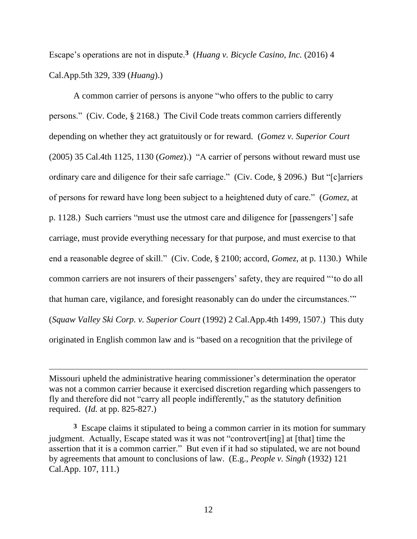Escape's operations are not in dispute.**<sup>3</sup>** (*Huang v. Bicycle Casino, Inc.* (2016) 4 Cal.App.5th 329, 339 (*Huang*).)

A common carrier of persons is anyone "who offers to the public to carry persons." (Civ. Code, § 2168.) The Civil Code treats common carriers differently depending on whether they act gratuitously or for reward. (*Gomez v. Superior Court* (2005) 35 Cal.4th 1125, 1130 (*Gomez*).) "A carrier of persons without reward must use ordinary care and diligence for their safe carriage." (Civ. Code, § 2096.) But "[c]arriers of persons for reward have long been subject to a heightened duty of care." (*Gomez*, at p. 1128.) Such carriers "must use the utmost care and diligence for [passengers'] safe carriage, must provide everything necessary for that purpose, and must exercise to that end a reasonable degree of skill." (Civ. Code, § 2100; accord, *Gomez*, at p. 1130.) While common carriers are not insurers of their passengers' safety, they are required "'to do all that human care, vigilance, and foresight reasonably can do under the circumstances.'" (*Squaw Valley Ski Corp. v. Superior Court* (1992) 2 Cal.App.4th 1499, 1507.) This duty originated in English common law and is "based on a recognition that the privilege of

Missouri upheld the administrative hearing commissioner's determination the operator was not a common carrier because it exercised discretion regarding which passengers to fly and therefore did not "carry all people indifferently," as the statutory definition required. (*Id.* at pp. 825-827.)

 $\overline{a}$ 

<sup>3</sup> Escape claims it stipulated to being a common carrier in its motion for summary judgment. Actually, Escape stated was it was not "controvert[ing] at [that] time the assertion that it is a common carrier." But even if it had so stipulated, we are not bound by agreements that amount to conclusions of law. (E.g., *People v. Singh* (1932) 121 Cal.App. 107, 111.)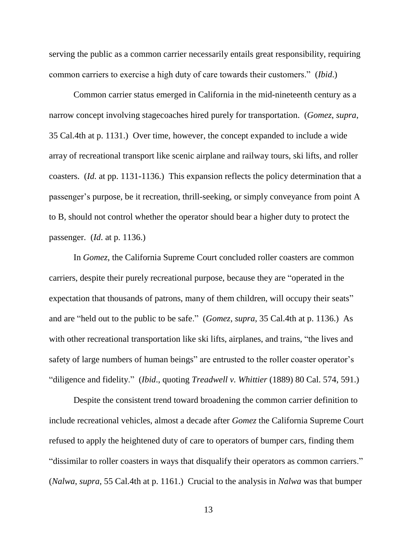serving the public as a common carrier necessarily entails great responsibility, requiring common carriers to exercise a high duty of care towards their customers." (*Ibid*.)

Common carrier status emerged in California in the mid-nineteenth century as a narrow concept involving stagecoaches hired purely for transportation. (*Gomez*, *supra*, 35 Cal.4th at p. 1131.) Over time, however, the concept expanded to include a wide array of recreational transport like scenic airplane and railway tours, ski lifts, and roller coasters. (*Id.* at pp. 1131-1136.) This expansion reflects the policy determination that a passenger's purpose, be it recreation, thrill-seeking, or simply conveyance from point A to B, should not control whether the operator should bear a higher duty to protect the passenger. (*Id*. at p. 1136.)

In *Gomez*, the California Supreme Court concluded roller coasters are common carriers, despite their purely recreational purpose, because they are "operated in the expectation that thousands of patrons, many of them children, will occupy their seats" and are "held out to the public to be safe." (*Gomez, supra*, 35 Cal.4th at p. 1136.) As with other recreational transportation like ski lifts, airplanes, and trains, "the lives and safety of large numbers of human beings" are entrusted to the roller coaster operator's "diligence and fidelity." (*Ibid*., quoting *Treadwell v. Whittier* (1889) 80 Cal. 574, 591.)

Despite the consistent trend toward broadening the common carrier definition to include recreational vehicles, almost a decade after *Gomez* the California Supreme Court refused to apply the heightened duty of care to operators of bumper cars, finding them "dissimilar to roller coasters in ways that disqualify their operators as common carriers." (*Nalwa*, *supra*, 55 Cal.4th at p. 1161.) Crucial to the analysis in *Nalwa* was that bumper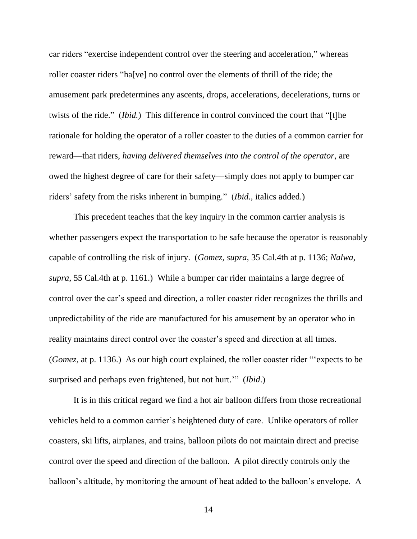car riders "exercise independent control over the steering and acceleration," whereas roller coaster riders "ha[ve] no control over the elements of thrill of the ride; the amusement park predetermines any ascents, drops, accelerations, decelerations, turns or twists of the ride." (*Ibid.*) This difference in control convinced the court that "[t]he rationale for holding the operator of a roller coaster to the duties of a common carrier for reward—that riders, *having delivered themselves into the control of the operator*, are owed the highest degree of care for their safety—simply does not apply to bumper car riders' safety from the risks inherent in bumping." (*Ibid.*, italics added.)

This precedent teaches that the key inquiry in the common carrier analysis is whether passengers expect the transportation to be safe because the operator is reasonably capable of controlling the risk of injury. (*Gomez*, *supra*, 35 Cal.4th at p. 1136; *Nalwa*, *supra*, 55 Cal.4th at p. 1161.) While a bumper car rider maintains a large degree of control over the car's speed and direction, a roller coaster rider recognizes the thrills and unpredictability of the ride are manufactured for his amusement by an operator who in reality maintains direct control over the coaster's speed and direction at all times. (*Gomez*, at p. 1136.) As our high court explained, the roller coaster rider "'expects to be surprised and perhaps even frightened, but not hurt.'" (*Ibid*.)

It is in this critical regard we find a hot air balloon differs from those recreational vehicles held to a common carrier's heightened duty of care. Unlike operators of roller coasters, ski lifts, airplanes, and trains, balloon pilots do not maintain direct and precise control over the speed and direction of the balloon. A pilot directly controls only the balloon's altitude, by monitoring the amount of heat added to the balloon's envelope. A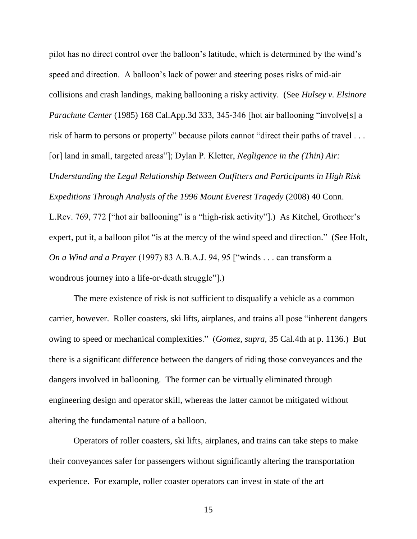pilot has no direct control over the balloon's latitude, which is determined by the wind's speed and direction. A balloon's lack of power and steering poses risks of mid-air collisions and crash landings, making ballooning a risky activity. (See *Hulsey v. Elsinore Parachute Center* (1985) 168 Cal.App.3d 333, 345-346 [hot air ballooning "involve<sup>[s]</sup> a risk of harm to persons or property" because pilots cannot "direct their paths of travel . . . [or] land in small, targeted areas"]; Dylan P. Kletter, *Negligence in the (Thin) Air: Understanding the Legal Relationship Between Outfitters and Participants in High Risk Expeditions Through Analysis of the 1996 Mount Everest Tragedy* (2008) 40 Conn.

L.Rev. 769, 772 ["hot air ballooning" is a "high-risk activity"].) As Kitchel, Grotheer's expert, put it, a balloon pilot "is at the mercy of the wind speed and direction." (See Holt, *On a Wind and a Prayer* (1997) 83 A.B.A.J. 94, 95 ["winds . . . can transform a wondrous journey into a life-or-death struggle"].)

The mere existence of risk is not sufficient to disqualify a vehicle as a common carrier, however. Roller coasters, ski lifts, airplanes, and trains all pose "inherent dangers owing to speed or mechanical complexities." (*Gomez, supra*, 35 Cal.4th at p. 1136.) But there is a significant difference between the dangers of riding those conveyances and the dangers involved in ballooning. The former can be virtually eliminated through engineering design and operator skill, whereas the latter cannot be mitigated without altering the fundamental nature of a balloon.

Operators of roller coasters, ski lifts, airplanes, and trains can take steps to make their conveyances safer for passengers without significantly altering the transportation experience. For example, roller coaster operators can invest in state of the art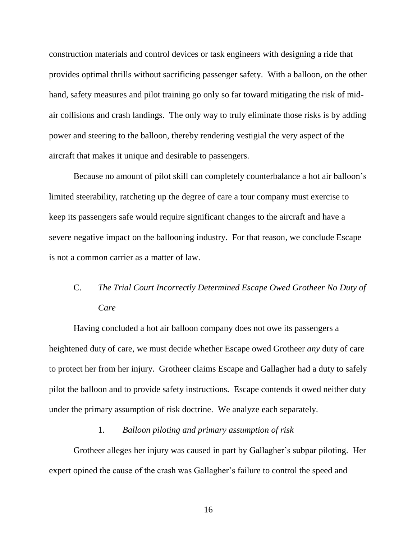construction materials and control devices or task engineers with designing a ride that provides optimal thrills without sacrificing passenger safety. With a balloon, on the other hand, safety measures and pilot training go only so far toward mitigating the risk of midair collisions and crash landings. The only way to truly eliminate those risks is by adding power and steering to the balloon, thereby rendering vestigial the very aspect of the aircraft that makes it unique and desirable to passengers.

Because no amount of pilot skill can completely counterbalance a hot air balloon's limited steerability, ratcheting up the degree of care a tour company must exercise to keep its passengers safe would require significant changes to the aircraft and have a severe negative impact on the ballooning industry. For that reason, we conclude Escape is not a common carrier as a matter of law.

## C. *The Trial Court Incorrectly Determined Escape Owed Grotheer No Duty of Care*

Having concluded a hot air balloon company does not owe its passengers a heightened duty of care, we must decide whether Escape owed Grotheer *any* duty of care to protect her from her injury. Grotheer claims Escape and Gallagher had a duty to safely pilot the balloon and to provide safety instructions. Escape contends it owed neither duty under the primary assumption of risk doctrine. We analyze each separately.

#### 1. *Balloon piloting and primary assumption of risk*

Grotheer alleges her injury was caused in part by Gallagher's subpar piloting. Her expert opined the cause of the crash was Gallagher's failure to control the speed and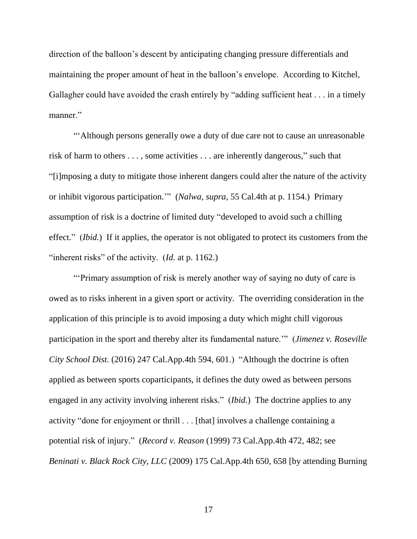direction of the balloon's descent by anticipating changing pressure differentials and maintaining the proper amount of heat in the balloon's envelope. According to Kitchel, Gallagher could have avoided the crash entirely by "adding sufficient heat . . . in a timely manner."

"'Although persons generally owe a duty of due care not to cause an unreasonable risk of harm to others . . . , some activities . . . are inherently dangerous," such that "[i]mposing a duty to mitigate those inherent dangers could alter the nature of the activity or inhibit vigorous participation.'" (*Nalwa*, *supra*, 55 Cal.4th at p. 1154.) Primary assumption of risk is a doctrine of limited duty "developed to avoid such a chilling effect." (*Ibid.*) If it applies, the operator is not obligated to protect its customers from the "inherent risks" of the activity. (*Id.* at p. 1162.)

"'Primary assumption of risk is merely another way of saying no duty of care is owed as to risks inherent in a given sport or activity. The overriding consideration in the application of this principle is to avoid imposing a duty which might chill vigorous participation in the sport and thereby alter its fundamental nature.'" (*Jimenez v. Roseville City School Dist.* (2016) 247 Cal.App.4th 594, 601.) "Although the doctrine is often applied as between sports coparticipants, it defines the duty owed as between persons engaged in any activity involving inherent risks." (*Ibid.*) The doctrine applies to any activity "done for enjoyment or thrill . . . [that] involves a challenge containing a potential risk of injury." (*Record v. Reason* (1999) 73 Cal.App.4th 472, 482; see *Beninati v. Black Rock City, LLC* (2009) 175 Cal.App.4th 650, 658 [by attending Burning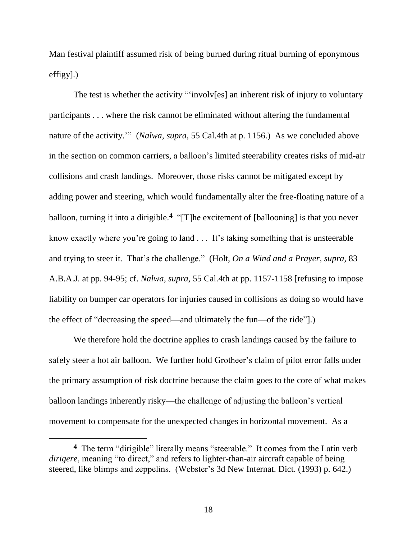Man festival plaintiff assumed risk of being burned during ritual burning of eponymous effigy].)

The test is whether the activity "'involv[es] an inherent risk of injury to voluntary participants . . . where the risk cannot be eliminated without altering the fundamental nature of the activity.'" (*Nalwa*, *supra*, 55 Cal.4th at p. 1156.) As we concluded above in the section on common carriers, a balloon's limited steerability creates risks of mid-air collisions and crash landings. Moreover, those risks cannot be mitigated except by adding power and steering, which would fundamentally alter the free-floating nature of a balloon, turning it into a dirigible. **4** "[T]he excitement of [ballooning] is that you never know exactly where you're going to land . . . It's taking something that is unsteerable and trying to steer it. That's the challenge." (Holt, *On a Wind and a Prayer, supra*, 83 A.B.A.J. at pp. 94-95; cf. *Nalwa*, *supra*, 55 Cal.4th at pp. 1157-1158 [refusing to impose liability on bumper car operators for injuries caused in collisions as doing so would have the effect of "decreasing the speed—and ultimately the fun—of the ride"].)

We therefore hold the doctrine applies to crash landings caused by the failure to safely steer a hot air balloon. We further hold Grotheer's claim of pilot error falls under the primary assumption of risk doctrine because the claim goes to the core of what makes balloon landings inherently risky—the challenge of adjusting the balloon's vertical movement to compensate for the unexpected changes in horizontal movement. As a

**<sup>4</sup>** The term "dirigible" literally means "steerable." It comes from the Latin verb *dirigere*, meaning "to direct," and refers to lighter-than-air aircraft capable of being steered, like blimps and zeppelins. (Webster's 3d New Internat. Dict. (1993) p. 642.)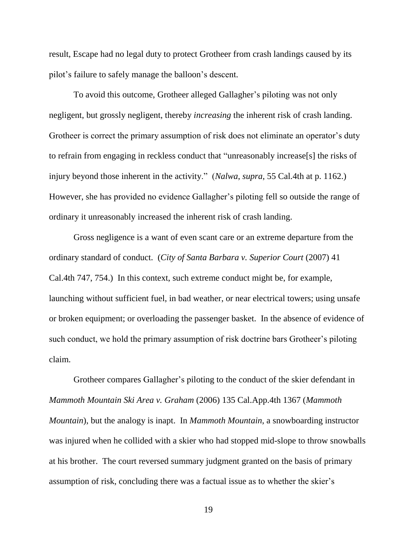result, Escape had no legal duty to protect Grotheer from crash landings caused by its pilot's failure to safely manage the balloon's descent.

To avoid this outcome, Grotheer alleged Gallagher's piloting was not only negligent, but grossly negligent, thereby *increasing* the inherent risk of crash landing. Grotheer is correct the primary assumption of risk does not eliminate an operator's duty to refrain from engaging in reckless conduct that "unreasonably increase[s] the risks of injury beyond those inherent in the activity." (*Nalwa*, *supra*, 55 Cal.4th at p. 1162.) However, she has provided no evidence Gallagher's piloting fell so outside the range of ordinary it unreasonably increased the inherent risk of crash landing.

Gross negligence is a want of even scant care or an extreme departure from the ordinary standard of conduct. (*City of Santa Barbara v. Superior Court* (2007) 41 Cal.4th 747, 754.) In this context, such extreme conduct might be, for example, launching without sufficient fuel, in bad weather, or near electrical towers; using unsafe or broken equipment; or overloading the passenger basket. In the absence of evidence of such conduct, we hold the primary assumption of risk doctrine bars Grotheer's piloting claim.

Grotheer compares Gallagher's piloting to the conduct of the skier defendant in *Mammoth Mountain Ski Area v. Graham* (2006) 135 Cal.App.4th 1367 (*Mammoth Mountain*), but the analogy is inapt. In *Mammoth Mountain*, a snowboarding instructor was injured when he collided with a skier who had stopped mid-slope to throw snowballs at his brother. The court reversed summary judgment granted on the basis of primary assumption of risk, concluding there was a factual issue as to whether the skier's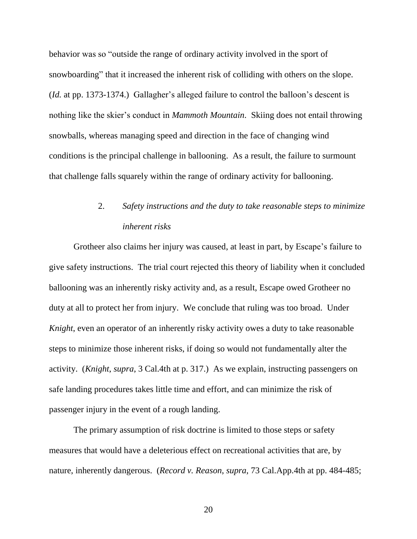behavior was so "outside the range of ordinary activity involved in the sport of snowboarding" that it increased the inherent risk of colliding with others on the slope. (*Id.* at pp. 1373-1374.) Gallagher's alleged failure to control the balloon's descent is nothing like the skier's conduct in *Mammoth Mountain*. Skiing does not entail throwing snowballs, whereas managing speed and direction in the face of changing wind conditions is the principal challenge in ballooning. As a result, the failure to surmount that challenge falls squarely within the range of ordinary activity for ballooning.

# 2. *Safety instructions and the duty to take reasonable steps to minimize inherent risks*

Grotheer also claims her injury was caused, at least in part, by Escape's failure to give safety instructions. The trial court rejected this theory of liability when it concluded ballooning was an inherently risky activity and, as a result, Escape owed Grotheer no duty at all to protect her from injury. We conclude that ruling was too broad. Under *Knight*, even an operator of an inherently risky activity owes a duty to take reasonable steps to minimize those inherent risks, if doing so would not fundamentally alter the activity. (*Knight*, *supra*, 3 Cal.4th at p. 317.) As we explain, instructing passengers on safe landing procedures takes little time and effort, and can minimize the risk of passenger injury in the event of a rough landing.

The primary assumption of risk doctrine is limited to those steps or safety measures that would have a deleterious effect on recreational activities that are, by nature, inherently dangerous. (*Record v. Reason*, *supra*, 73 Cal.App.4th at pp. 484-485;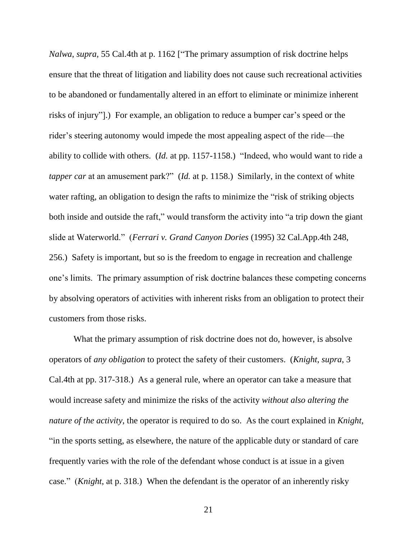*Nalwa*, *supra*, 55 Cal.4th at p. 1162 ["The primary assumption of risk doctrine helps ensure that the threat of litigation and liability does not cause such recreational activities to be abandoned or fundamentally altered in an effort to eliminate or minimize inherent risks of injury"].) For example, an obligation to reduce a bumper car's speed or the rider's steering autonomy would impede the most appealing aspect of the ride—the ability to collide with others. (*Id.* at pp. 1157-1158.) "Indeed, who would want to ride a *tapper car* at an amusement park?" (*Id.* at p. 1158.) Similarly, in the context of white water rafting, an obligation to design the rafts to minimize the "risk of striking objects" both inside and outside the raft," would transform the activity into "a trip down the giant slide at Waterworld." (*Ferrari v. Grand Canyon Dories* (1995) 32 Cal.App.4th 248, 256.) Safety is important, but so is the freedom to engage in recreation and challenge one's limits. The primary assumption of risk doctrine balances these competing concerns by absolving operators of activities with inherent risks from an obligation to protect their customers from those risks.

What the primary assumption of risk doctrine does not do, however, is absolve operators of *any obligation* to protect the safety of their customers. (*Knight*, *supra*, 3 Cal.4th at pp. 317-318.) As a general rule, where an operator can take a measure that would increase safety and minimize the risks of the activity *without also altering the nature of the activity*, the operator is required to do so. As the court explained in *Knight*, "in the sports setting, as elsewhere, the nature of the applicable duty or standard of care frequently varies with the role of the defendant whose conduct is at issue in a given case." (*Knight*, at p. 318.) When the defendant is the operator of an inherently risky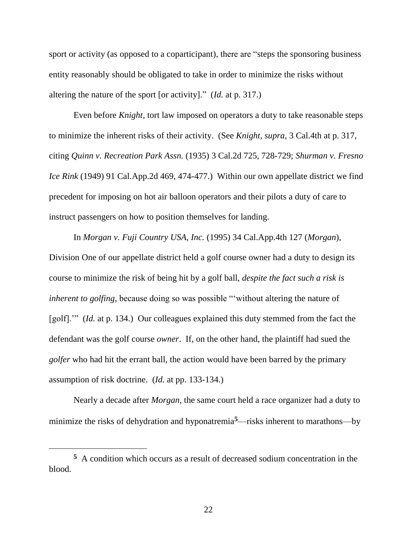sport or activity (as opposed to a coparticipant), there are "steps the sponsoring business entity reasonably should be obligated to take in order to minimize the risks without altering the nature of the sport [or activity]." (*Id.* at p. 317.)

Even before *Knight*, tort law imposed on operators a duty to take reasonable steps to minimize the inherent risks of their activity. (See *Knight*, *supra*, 3 Cal.4th at p. 317, citing *Quinn v. Recreation Park Assn.* (1935) 3 Cal.2d 725, 728-729; *Shurman v. Fresno Ice Rink* (1949) 91 Cal.App.2d 469, 474-477.) Within our own appellate district we find precedent for imposing on hot air balloon operators and their pilots a duty of care to instruct passengers on how to position themselves for landing.

In *Morgan v. Fuji Country USA, Inc.* (1995) 34 Cal.App.4th 127 (*Morgan*), Division One of our appellate district held a golf course owner had a duty to design its course to minimize the risk of being hit by a golf ball, *despite the fact such a risk is inherent to golfing*, because doing so was possible "without altering the nature of [golf].'" (*Id.* at p. 134.) Our colleagues explained this duty stemmed from the fact the defendant was the golf course *owner*. If, on the other hand, the plaintiff had sued the *golfer* who had hit the errant ball, the action would have been barred by the primary assumption of risk doctrine. (*Id.* at pp. 133-134.)

Nearly a decade after *Morgan*, the same court held a race organizer had a duty to minimize the risks of dehydration and hyponatremia**5**—risks inherent to marathons—by

 $\overline{a}$ 

**<sup>5</sup>** A condition which occurs as a result of decreased sodium concentration in the blood.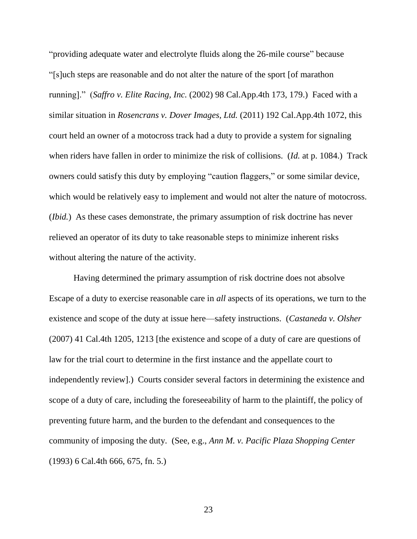"providing adequate water and electrolyte fluids along the 26-mile course" because "[s]uch steps are reasonable and do not alter the nature of the sport [of marathon running]." (*Saffro v. Elite Racing, Inc.* (2002) 98 Cal.App.4th 173, 179.) Faced with a similar situation in *Rosencrans v. Dover Images, Ltd.* (2011) 192 Cal.App.4th 1072, this court held an owner of a motocross track had a duty to provide a system for signaling when riders have fallen in order to minimize the risk of collisions. (*Id.* at p. 1084.) Track owners could satisfy this duty by employing "caution flaggers," or some similar device, which would be relatively easy to implement and would not alter the nature of motocross. (*Ibid.*) As these cases demonstrate, the primary assumption of risk doctrine has never relieved an operator of its duty to take reasonable steps to minimize inherent risks without altering the nature of the activity.

Having determined the primary assumption of risk doctrine does not absolve Escape of a duty to exercise reasonable care in *all* aspects of its operations, we turn to the existence and scope of the duty at issue here—safety instructions. (*Castaneda v. Olsher* (2007) 41 Cal.4th 1205, 1213 [the existence and scope of a duty of care are questions of law for the trial court to determine in the first instance and the appellate court to independently review].) Courts consider several factors in determining the existence and scope of a duty of care, including the foreseeability of harm to the plaintiff, the policy of preventing future harm, and the burden to the defendant and consequences to the community of imposing the duty. (See, e.g., *Ann M. v. Pacific Plaza Shopping Center*  (1993) 6 Cal.4th 666, 675, fn. 5.)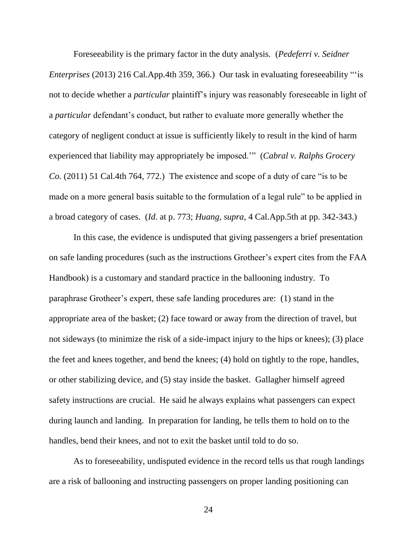Foreseeability is the primary factor in the duty analysis. (*Pedeferri v. Seidner Enterprises* (2013) 216 Cal.App.4th 359, 366.) Our task in evaluating foreseeability "'is not to decide whether a *particular* plaintiff's injury was reasonably foreseeable in light of a *particular* defendant's conduct, but rather to evaluate more generally whether the category of negligent conduct at issue is sufficiently likely to result in the kind of harm experienced that liability may appropriately be imposed.'" (*Cabral v. Ralphs Grocery Co.* (2011) 51 Cal.4th 764, 772.) The existence and scope of a duty of care "is to be made on a more general basis suitable to the formulation of a legal rule" to be applied in a broad category of cases. (*Id*. at p. 773; *Huang*, *supra*, 4 Cal.App.5th at pp. 342-343.)

In this case, the evidence is undisputed that giving passengers a brief presentation on safe landing procedures (such as the instructions Grotheer's expert cites from the FAA Handbook) is a customary and standard practice in the ballooning industry. To paraphrase Grotheer's expert, these safe landing procedures are: (1) stand in the appropriate area of the basket; (2) face toward or away from the direction of travel, but not sideways (to minimize the risk of a side-impact injury to the hips or knees); (3) place the feet and knees together, and bend the knees; (4) hold on tightly to the rope, handles, or other stabilizing device, and (5) stay inside the basket. Gallagher himself agreed safety instructions are crucial. He said he always explains what passengers can expect during launch and landing. In preparation for landing, he tells them to hold on to the handles, bend their knees, and not to exit the basket until told to do so.

As to foreseeability, undisputed evidence in the record tells us that rough landings are a risk of ballooning and instructing passengers on proper landing positioning can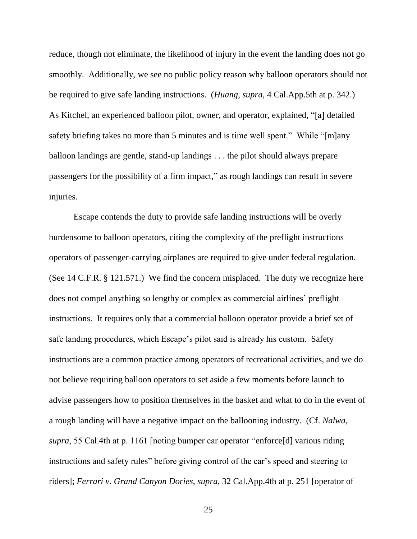reduce, though not eliminate, the likelihood of injury in the event the landing does not go smoothly. Additionally, we see no public policy reason why balloon operators should not be required to give safe landing instructions. (*Huang*, *supra,* 4 Cal.App.5th at p. 342.) As Kitchel, an experienced balloon pilot, owner, and operator, explained, "[a] detailed safety briefing takes no more than 5 minutes and is time well spent." While "[m]any balloon landings are gentle, stand-up landings . . . the pilot should always prepare passengers for the possibility of a firm impact," as rough landings can result in severe injuries.

Escape contends the duty to provide safe landing instructions will be overly burdensome to balloon operators, citing the complexity of the preflight instructions operators of passenger-carrying airplanes are required to give under federal regulation. (See 14 C.F.R. § 121.571.) We find the concern misplaced. The duty we recognize here does not compel anything so lengthy or complex as commercial airlines' preflight instructions. It requires only that a commercial balloon operator provide a brief set of safe landing procedures, which Escape's pilot said is already his custom. Safety instructions are a common practice among operators of recreational activities, and we do not believe requiring balloon operators to set aside a few moments before launch to advise passengers how to position themselves in the basket and what to do in the event of a rough landing will have a negative impact on the ballooning industry. (Cf. *Nalwa*, *supra*, 55 Cal.4th at p. 1161 [noting bumper car operator "enforce[d] various riding instructions and safety rules" before giving control of the car's speed and steering to riders]; *Ferrari v. Grand Canyon Dories*, *supra*, 32 Cal.App.4th at p. 251 [operator of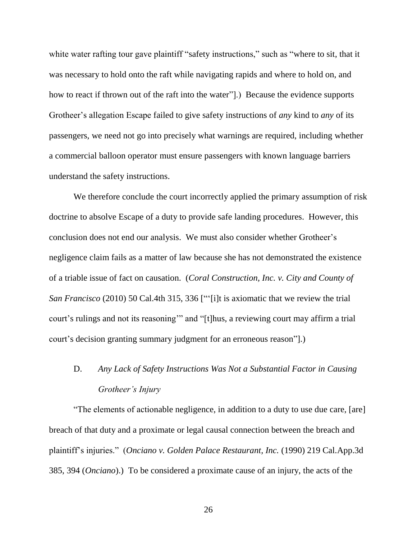white water rafting tour gave plaintiff "safety instructions," such as "where to sit, that it was necessary to hold onto the raft while navigating rapids and where to hold on, and how to react if thrown out of the raft into the water"].) Because the evidence supports Grotheer's allegation Escape failed to give safety instructions of *any* kind to *any* of its passengers, we need not go into precisely what warnings are required, including whether a commercial balloon operator must ensure passengers with known language barriers understand the safety instructions.

We therefore conclude the court incorrectly applied the primary assumption of risk doctrine to absolve Escape of a duty to provide safe landing procedures. However, this conclusion does not end our analysis. We must also consider whether Grotheer's negligence claim fails as a matter of law because she has not demonstrated the existence of a triable issue of fact on causation. (*Coral Construction, Inc. v. City and County of San Francisco* (2010) 50 Cal.4th 315, 336 ["'[i]t is axiomatic that we review the trial court's rulings and not its reasoning'" and "[t]hus, a reviewing court may affirm a trial court's decision granting summary judgment for an erroneous reason"].)

# D. *Any Lack of Safety Instructions Was Not a Substantial Factor in Causing Grotheer's Injury*

"The elements of actionable negligence, in addition to a duty to use due care, [are] breach of that duty and a proximate or legal causal connection between the breach and plaintiff's injuries." (*Onciano v. Golden Palace Restaurant, Inc.* (1990) 219 Cal.App.3d 385, 394 (*Onciano*).) To be considered a proximate cause of an injury, the acts of the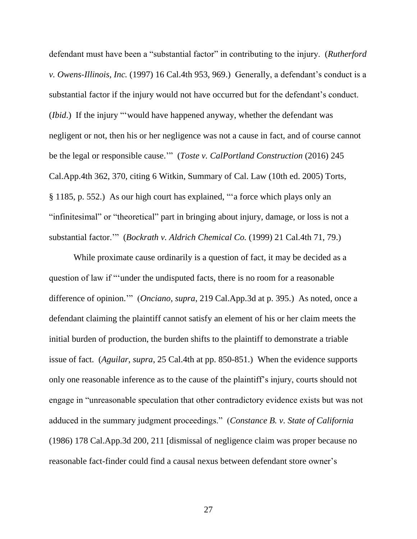defendant must have been a "substantial factor" in contributing to the injury. (*Rutherford v. Owens-Illinois, Inc.* (1997) 16 Cal.4th 953, 969.) Generally, a defendant's conduct is a substantial factor if the injury would not have occurred but for the defendant's conduct. (*Ibid*.) If the injury "'would have happened anyway, whether the defendant was negligent or not, then his or her negligence was not a cause in fact, and of course cannot be the legal or responsible cause.'" (*Toste v. CalPortland Construction* (2016) 245 Cal.App.4th 362, 370, citing 6 Witkin, Summary of Cal. Law (10th ed. 2005) Torts, § 1185, p. 552.) As our high court has explained, "'a force which plays only an "infinitesimal" or "theoretical" part in bringing about injury, damage, or loss is not a substantial factor.'" (*Bockrath v. Aldrich Chemical Co.* (1999) 21 Cal.4th 71, 79.)

While proximate cause ordinarily is a question of fact, it may be decided as a question of law if "'under the undisputed facts, there is no room for a reasonable difference of opinion.'" (*Onciano*, *supra*, 219 Cal.App.3d at p. 395.) As noted, once a defendant claiming the plaintiff cannot satisfy an element of his or her claim meets the initial burden of production, the burden shifts to the plaintiff to demonstrate a triable issue of fact. (*Aguilar*, *supra*, 25 Cal.4th at pp. 850-851.) When the evidence supports only one reasonable inference as to the cause of the plaintiff's injury, courts should not engage in "unreasonable speculation that other contradictory evidence exists but was not adduced in the summary judgment proceedings." (*Constance B. v. State of California*  (1986) 178 Cal.App.3d 200, 211 [dismissal of negligence claim was proper because no reasonable fact-finder could find a causal nexus between defendant store owner's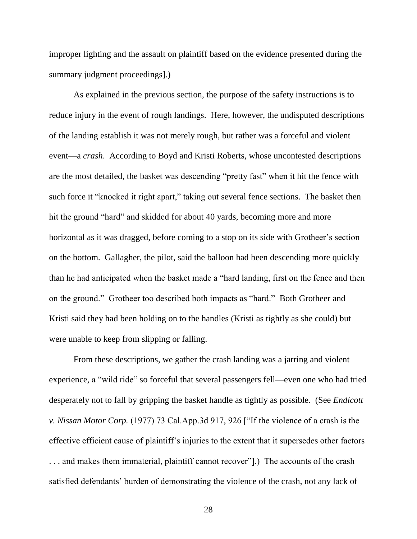improper lighting and the assault on plaintiff based on the evidence presented during the summary judgment proceedings].)

As explained in the previous section, the purpose of the safety instructions is to reduce injury in the event of rough landings. Here, however, the undisputed descriptions of the landing establish it was not merely rough, but rather was a forceful and violent event—a *crash*. According to Boyd and Kristi Roberts, whose uncontested descriptions are the most detailed, the basket was descending "pretty fast" when it hit the fence with such force it "knocked it right apart," taking out several fence sections. The basket then hit the ground "hard" and skidded for about 40 yards, becoming more and more horizontal as it was dragged, before coming to a stop on its side with Grotheer's section on the bottom. Gallagher, the pilot, said the balloon had been descending more quickly than he had anticipated when the basket made a "hard landing, first on the fence and then on the ground." Grotheer too described both impacts as "hard." Both Grotheer and Kristi said they had been holding on to the handles (Kristi as tightly as she could) but were unable to keep from slipping or falling.

From these descriptions, we gather the crash landing was a jarring and violent experience, a "wild ride" so forceful that several passengers fell—even one who had tried desperately not to fall by gripping the basket handle as tightly as possible. (See *Endicott v. Nissan Motor Corp.* (1977) 73 Cal.App.3d 917, 926 ["If the violence of a crash is the effective efficient cause of plaintiff's injuries to the extent that it supersedes other factors . . . and makes them immaterial, plaintiff cannot recover"].) The accounts of the crash satisfied defendants' burden of demonstrating the violence of the crash, not any lack of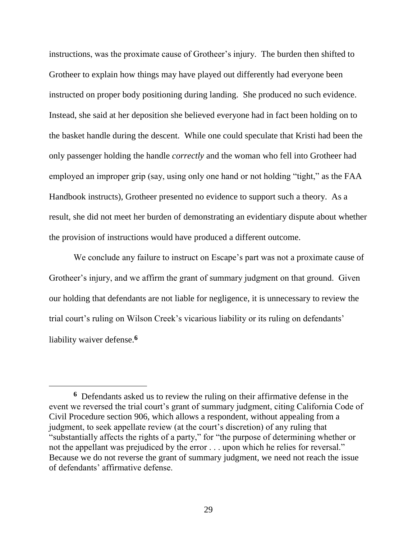instructions, was the proximate cause of Grotheer's injury. The burden then shifted to Grotheer to explain how things may have played out differently had everyone been instructed on proper body positioning during landing. She produced no such evidence. Instead, she said at her deposition she believed everyone had in fact been holding on to the basket handle during the descent. While one could speculate that Kristi had been the only passenger holding the handle *correctly* and the woman who fell into Grotheer had employed an improper grip (say, using only one hand or not holding "tight," as the FAA Handbook instructs), Grotheer presented no evidence to support such a theory. As a result, she did not meet her burden of demonstrating an evidentiary dispute about whether the provision of instructions would have produced a different outcome.

We conclude any failure to instruct on Escape's part was not a proximate cause of Grotheer's injury, and we affirm the grant of summary judgment on that ground. Given our holding that defendants are not liable for negligence, it is unnecessary to review the trial court's ruling on Wilson Creek's vicarious liability or its ruling on defendants' liability waiver defense.**<sup>6</sup>**

**<sup>6</sup>** Defendants asked us to review the ruling on their affirmative defense in the event we reversed the trial court's grant of summary judgment, citing California Code of Civil Procedure section 906, which allows a respondent, without appealing from a judgment, to seek appellate review (at the court's discretion) of any ruling that "substantially affects the rights of a party," for "the purpose of determining whether or not the appellant was prejudiced by the error . . . upon which he relies for reversal." Because we do not reverse the grant of summary judgment, we need not reach the issue of defendants' affirmative defense.